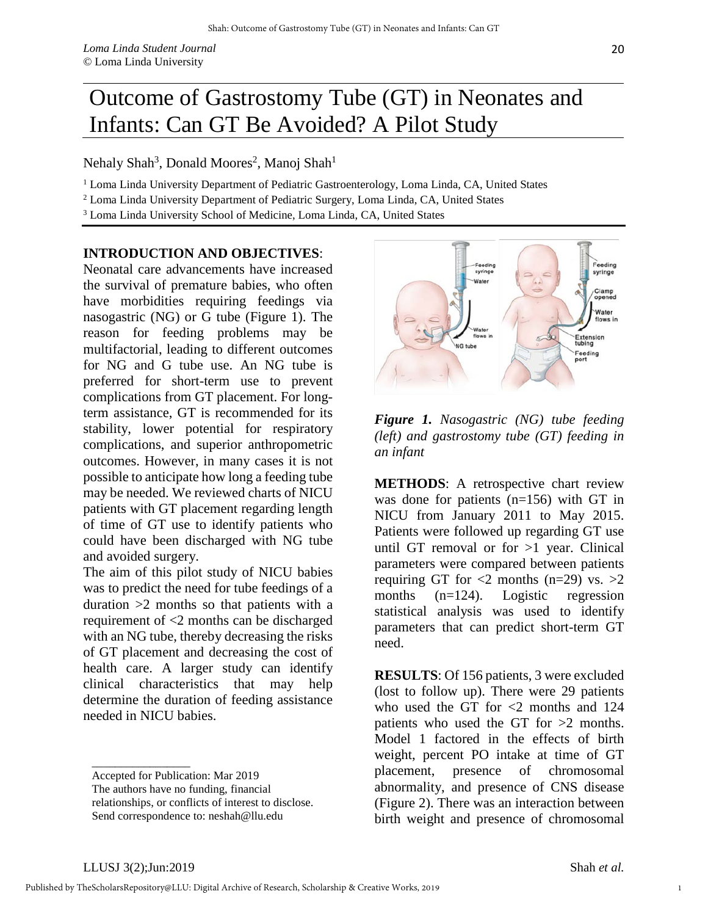## Outcome of Gastrostomy Tube (GT) in Neonates and Infants: Can GT Be Avoided? A Pilot Study

Nehaly Shah<sup>3</sup>, Donald Moores<sup>2</sup>, Manoj Shah<sup>1</sup>

<sup>1</sup> Loma Linda University Department of Pediatric Gastroenterology, Loma Linda, CA, United States

<sup>2</sup> Loma Linda University Department of Pediatric Surgery, Loma Linda, CA, United States

<sup>3</sup> Loma Linda University School of Medicine, Loma Linda, CA, United States

## **INTRODUCTION AND OBJECTIVES**:

Neonatal care advancements have increased the survival of premature babies, who often have morbidities requiring feedings via nasogastric (NG) or G tube (Figure 1). The reason for feeding problems may be multifactorial, leading to different outcomes for NG and G tube use. An NG tube is preferred for short-term use to prevent complications from GT placement. For longterm assistance, GT is recommended for its stability, lower potential for respiratory complications, and superior anthropometric outcomes. However, in many cases it is not possible to anticipate how long a feeding tube may be needed. We reviewed charts of NICU patients with GT placement regarding length of time of GT use to identify patients who could have been discharged with NG tube and avoided surgery.

The aim of this pilot study of NICU babies was to predict the need for tube feedings of a duration >2 months so that patients with a requirement of <2 months can be discharged with an NG tube, thereby decreasing the risks of GT placement and decreasing the cost of health care. A larger study can identify clinical characteristics that may help determine the duration of feeding assistance needed in NICU babies.



*Figure 1. Nasogastric (NG) tube feeding (left) and gastrostomy tube (GT) feeding in an infant* 

**METHODS**: A retrospective chart review was done for patients (n=156) with GT in NICU from January 2011 to May 2015. Patients were followed up regarding GT use until GT removal or for >1 year. Clinical parameters were compared between patients requiring GT for  $\langle 2 \rangle$  months (n=29) vs.  $>2$ months (n=124). Logistic regression statistical analysis was used to identify parameters that can predict short-term GT need.

**RESULTS**: Of 156 patients, 3 were excluded (lost to follow up). There were 29 patients who used the GT for  $\langle 2 \rangle$  months and 124 patients who used the GT for  $>2$  months. Model 1 factored in the effects of birth weight, percent PO intake at time of GT placement, presence of chromosomal abnormality, and presence of CNS disease (Figure 2). There was an interaction between birth weight and presence of chromosomal

\_\_\_\_\_\_\_\_\_\_\_\_\_\_\_\_\_

1

Accepted for Publication: Mar 2019

The authors have no funding, financial

relationships, or conflicts of interest to disclose. Send correspondence to: neshah@llu.edu